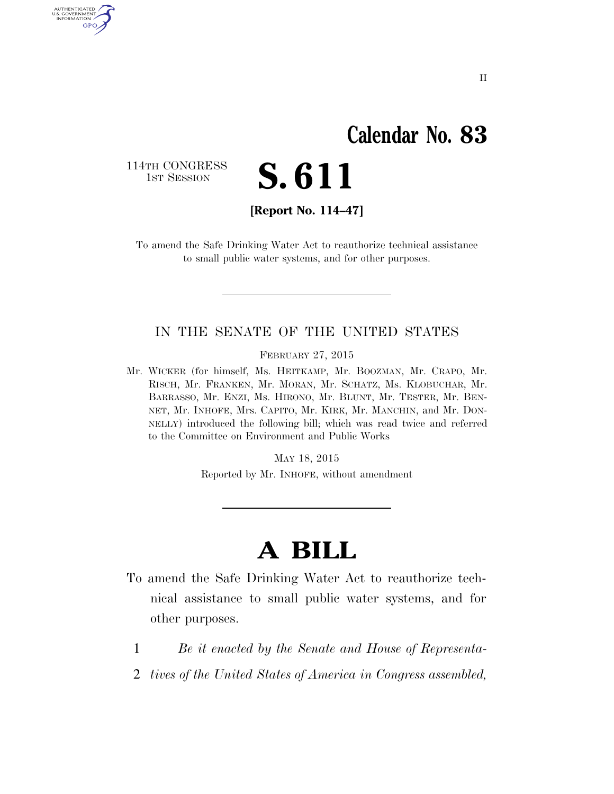## **Calendar No. 83**

114TH CONGRESS<br>1st Session

AUTHENTICATED<br>U.S. GOVERNMENT<br>INFORMATION GPO

S. 611

**[Report No. 114–47]** 

To amend the Safe Drinking Water Act to reauthorize technical assistance to small public water systems, and for other purposes.

### IN THE SENATE OF THE UNITED STATES

FEBRUARY 27, 2015

Mr. WICKER (for himself, Ms. HEITKAMP, Mr. BOOZMAN, Mr. CRAPO, Mr. RISCH, Mr. FRANKEN, Mr. MORAN, Mr. SCHATZ, Ms. KLOBUCHAR, Mr. BARRASSO, Mr. ENZI, Ms. HIRONO, Mr. BLUNT, Mr. TESTER, Mr. BEN-NET, Mr. INHOFE, Mrs. CAPITO, Mr. KIRK, Mr. MANCHIN, and Mr. DON-NELLY) introduced the following bill; which was read twice and referred to the Committee on Environment and Public Works

MAY 18, 2015

Reported by Mr. INHOFE, without amendment

# **A BILL**

- To amend the Safe Drinking Water Act to reauthorize technical assistance to small public water systems, and for other purposes.
	- 1 *Be it enacted by the Senate and House of Representa-*
	- 2 *tives of the United States of America in Congress assembled,*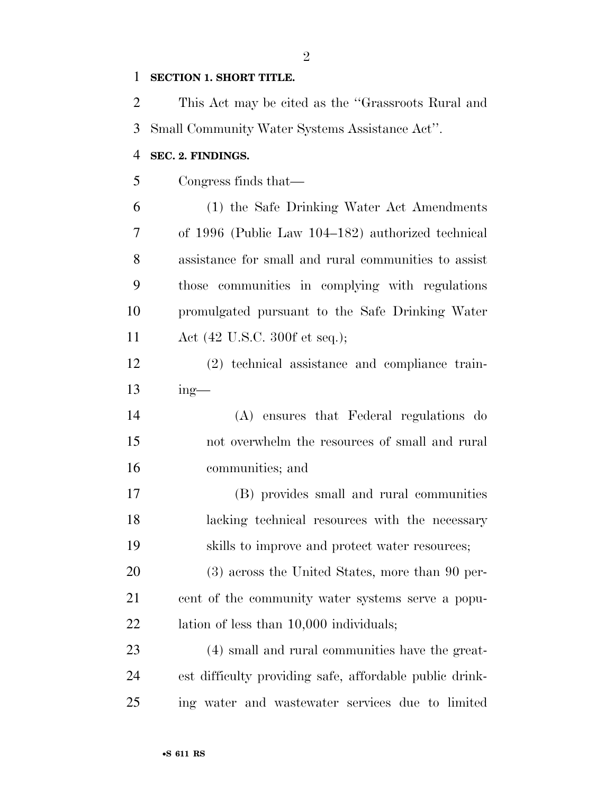#### **SECTION 1. SHORT TITLE.**

 This Act may be cited as the ''Grassroots Rural and Small Community Water Systems Assistance Act''.

#### **SEC. 2. FINDINGS.**

Congress finds that—

 (1) the Safe Drinking Water Act Amendments of 1996 (Public Law 104–182) authorized technical assistance for small and rural communities to assist those communities in complying with regulations promulgated pursuant to the Safe Drinking Water Act (42 U.S.C. 300f et seq.);

 (2) technical assistance and compliance train-ing—

 (A) ensures that Federal regulations do not overwhelm the resources of small and rural communities; and

 (B) provides small and rural communities lacking technical resources with the necessary skills to improve and protect water resources;

 (3) across the United States, more than 90 per- cent of the community water systems serve a popu-22 lation of less than 10,000 individuals;

 (4) small and rural communities have the great- est difficulty providing safe, affordable public drink-ing water and wastewater services due to limited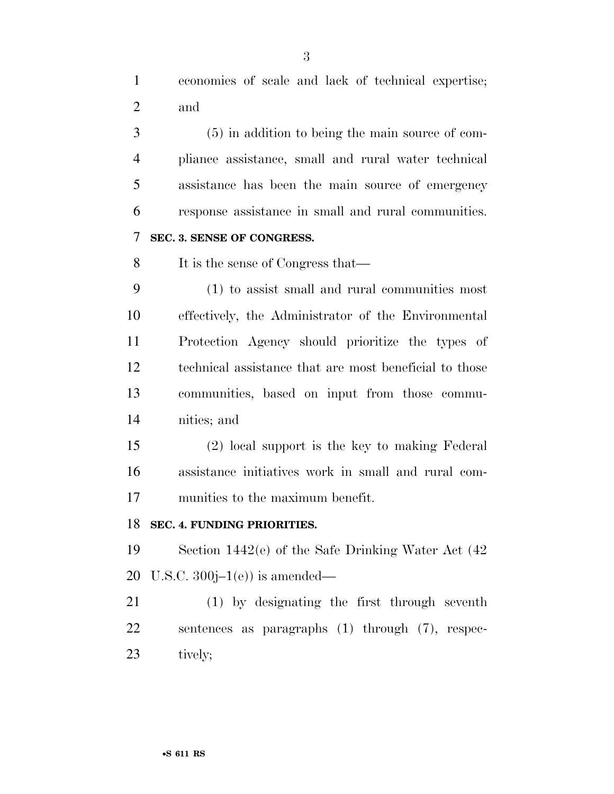economies of scale and lack of technical expertise; and

 (5) in addition to being the main source of com- pliance assistance, small and rural water technical assistance has been the main source of emergency response assistance in small and rural communities.

## **SEC. 3. SENSE OF CONGRESS.**

It is the sense of Congress that—

 (1) to assist small and rural communities most effectively, the Administrator of the Environmental Protection Agency should prioritize the types of technical assistance that are most beneficial to those communities, based on input from those commu-nities; and

 (2) local support is the key to making Federal assistance initiatives work in small and rural com-munities to the maximum benefit.

#### **SEC. 4. FUNDING PRIORITIES.**

 Section 1442(e) of the Safe Drinking Water Act (42 20 U.S.C.  $300j-1(e)$  is amended—

 (1) by designating the first through seventh sentences as paragraphs (1) through (7), respec-tively;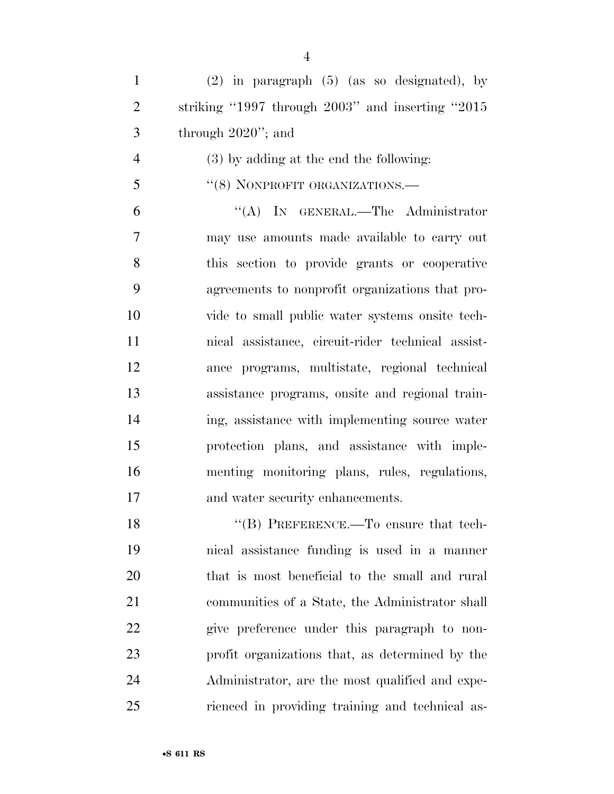(2) in paragraph (5) (as so designated), by striking ''1997 through 2003'' and inserting ''2015 through 2020''; and

- (3) by adding at the end the following:
- 5 "(8) NONPROFIT ORGANIZATIONS.—

 ''(A) IN GENERAL.—The Administrator may use amounts made available to carry out this section to provide grants or cooperative agreements to nonprofit organizations that pro- vide to small public water systems onsite tech- nical assistance, circuit-rider technical assist- ance programs, multistate, regional technical assistance programs, onsite and regional train- ing, assistance with implementing source water protection plans, and assistance with imple- menting monitoring plans, rules, regulations, and water security enhancements.

18 "(B) PREFERENCE.—To ensure that tech- nical assistance funding is used in a manner that is most beneficial to the small and rural communities of a State, the Administrator shall give preference under this paragraph to non- profit organizations that, as determined by the Administrator, are the most qualified and expe-rienced in providing training and technical as-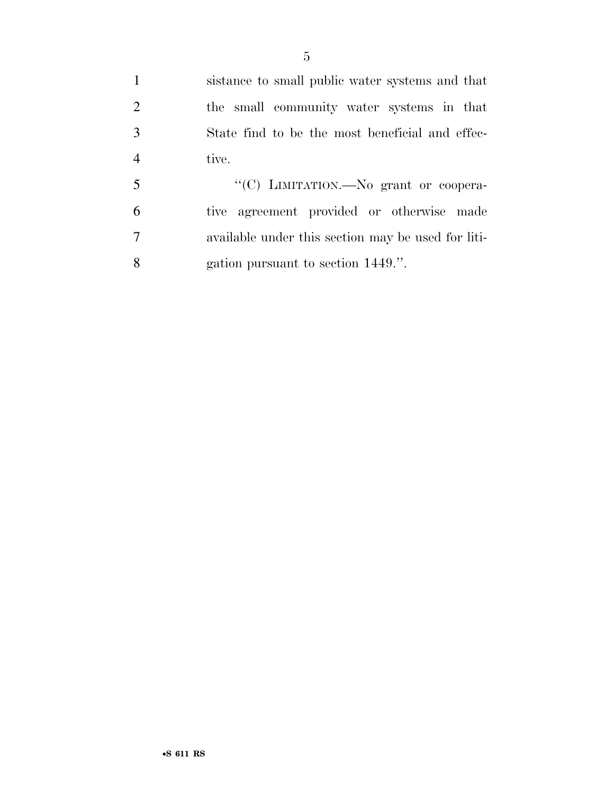sistance to small public water systems and that the small community water systems in that State find to be the most beneficial and effec-tive.

 ''(C) LIMITATION.—No grant or coopera- tive agreement provided or otherwise made available under this section may be used for liti-gation pursuant to section 1449.''.